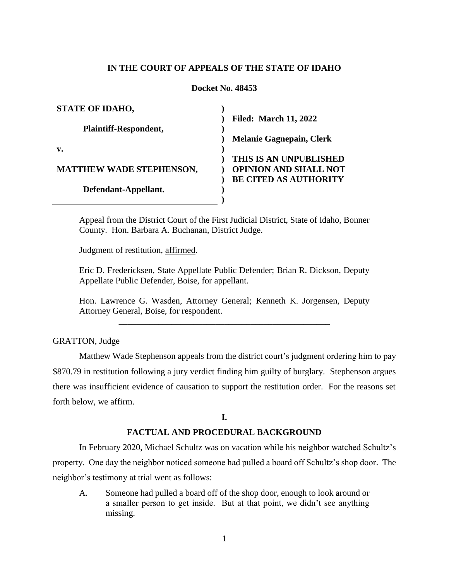# **IN THE COURT OF APPEALS OF THE STATE OF IDAHO**

#### **Docket No. 48453**

| STATE OF IDAHO,                 |                                 |
|---------------------------------|---------------------------------|
|                                 | <b>Filed: March 11, 2022</b>    |
| <b>Plaintiff-Respondent,</b>    |                                 |
|                                 | <b>Melanie Gagnepain, Clerk</b> |
| v.                              |                                 |
|                                 | THIS IS AN UNPUBLISHED          |
| <b>MATTHEW WADE STEPHENSON,</b> | <b>OPINION AND SHALL NOT</b>    |
|                                 | <b>BE CITED AS AUTHORITY</b>    |
| Defendant-Appellant.            |                                 |
|                                 |                                 |

Appeal from the District Court of the First Judicial District, State of Idaho, Bonner County. Hon. Barbara A. Buchanan, District Judge.

Judgment of restitution, affirmed.

Eric D. Fredericksen, State Appellate Public Defender; Brian R. Dickson, Deputy Appellate Public Defender, Boise, for appellant.

Hon. Lawrence G. Wasden, Attorney General; Kenneth K. Jorgensen, Deputy Attorney General, Boise, for respondent. \_\_\_\_\_\_\_\_\_\_\_\_\_\_\_\_\_\_\_\_\_\_\_\_\_\_\_\_\_\_\_\_\_\_\_\_\_\_\_\_\_\_\_\_\_\_\_\_

GRATTON, Judge

Matthew Wade Stephenson appeals from the district court's judgment ordering him to pay \$870.79 in restitution following a jury verdict finding him guilty of burglary. Stephenson argues there was insufficient evidence of causation to support the restitution order. For the reasons set forth below, we affirm.

## **I.**

# **FACTUAL AND PROCEDURAL BACKGROUND**

In February 2020, Michael Schultz was on vacation while his neighbor watched Schultz's property. One day the neighbor noticed someone had pulled a board off Schultz's shop door. The neighbor's testimony at trial went as follows:

A. Someone had pulled a board off of the shop door, enough to look around or a smaller person to get inside. But at that point, we didn't see anything missing.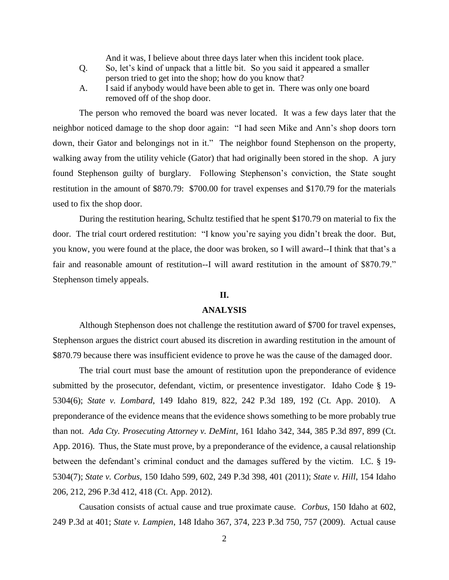And it was, I believe about three days later when this incident took place.

- Q. So, let's kind of unpack that a little bit. So you said it appeared a smaller person tried to get into the shop; how do you know that?
- A. I said if anybody would have been able to get in. There was only one board removed off of the shop door.

The person who removed the board was never located. It was a few days later that the neighbor noticed damage to the shop door again: "I had seen Mike and Ann's shop doors torn down, their Gator and belongings not in it." The neighbor found Stephenson on the property, walking away from the utility vehicle (Gator) that had originally been stored in the shop. A jury found Stephenson guilty of burglary. Following Stephenson's conviction, the State sought restitution in the amount of \$870.79: \$700.00 for travel expenses and \$170.79 for the materials used to fix the shop door.

During the restitution hearing, Schultz testified that he spent \$170.79 on material to fix the door. The trial court ordered restitution: "I know you're saying you didn't break the door. But, you know, you were found at the place, the door was broken, so I will award--I think that that's a fair and reasonable amount of restitution--I will award restitution in the amount of \$870.79." Stephenson timely appeals.

# **II.**

# **ANALYSIS**

Although Stephenson does not challenge the restitution award of \$700 for travel expenses, Stephenson argues the district court abused its discretion in awarding restitution in the amount of \$870.79 because there was insufficient evidence to prove he was the cause of the damaged door.

The trial court must base the amount of restitution upon the preponderance of evidence submitted by the prosecutor, defendant, victim, or presentence investigator. Idaho Code § 19- 5304(6); *State v. Lombard*, 149 Idaho 819, 822, 242 P.3d 189, 192 (Ct. App. 2010). A preponderance of the evidence means that the evidence shows something to be more probably true than not. *Ada Cty. Prosecuting Attorney v. DeMint*, 161 Idaho 342, 344, 385 P.3d 897, 899 (Ct. App. 2016). Thus, the State must prove, by a preponderance of the evidence, a causal relationship between the defendant's criminal conduct and the damages suffered by the victim. I.C. § 19- 5304(7); *State v. Corbus*, 150 Idaho 599, 602, 249 P.3d 398, 401 (2011); *State v. Hill*, 154 Idaho 206, 212, 296 P.3d 412, 418 (Ct. App. 2012).

Causation consists of actual cause and true proximate cause. *Corbus*, 150 Idaho at 602, 249 P.3d at 401; *State v. Lampien*, 148 Idaho 367, 374, 223 P.3d 750, 757 (2009). Actual cause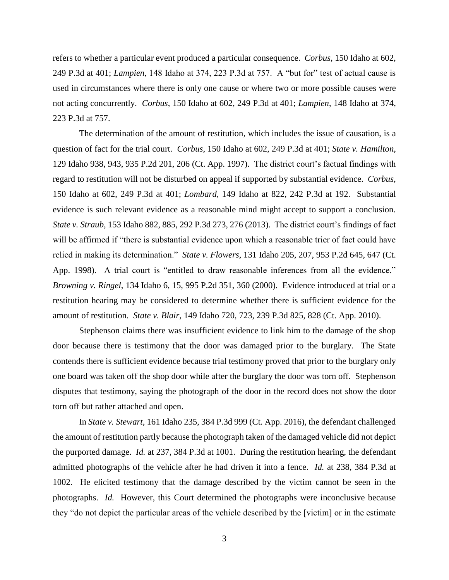refers to whether a particular event produced a particular consequence. *Corbus*, 150 Idaho at 602, 249 P.3d at 401; *Lampien*, 148 Idaho at 374, 223 P.3d at 757. A "but for" test of actual cause is used in circumstances where there is only one cause or where two or more possible causes were not acting concurrently. *Corbus*, 150 Idaho at 602, 249 P.3d at 401; *Lampien*, 148 Idaho at 374, 223 P.3d at 757.

The determination of the amount of restitution, which includes the issue of causation, is a question of fact for the trial court. *Corbus*, 150 Idaho at 602, 249 P.3d at 401; *State v. Hamilton*, 129 Idaho 938, 943, 935 P.2d 201, 206 (Ct. App. 1997). The district court's factual findings with regard to restitution will not be disturbed on appeal if supported by substantial evidence. *Corbus*, 150 Idaho at 602, 249 P.3d at 401; *Lombard*, 149 Idaho at 822, 242 P.3d at 192. Substantial evidence is such relevant evidence as a reasonable mind might accept to support a conclusion. *State v. Straub*, 153 Idaho 882, 885, 292 P.3d 273, 276 (2013). The district court's findings of fact will be affirmed if "there is substantial evidence upon which a reasonable trier of fact could have relied in making its determination." *State v. Flowers*, 131 Idaho 205, 207, 953 P.2d 645, 647 (Ct. App. 1998). A trial court is "entitled to draw reasonable inferences from all the evidence." *Browning v. Ringel*, 134 Idaho 6, 15, 995 P.2d 351, 360 (2000). Evidence introduced at trial or a restitution hearing may be considered to determine whether there is sufficient evidence for the amount of restitution. *State v. Blair*, 149 Idaho 720, 723, 239 P.3d 825, 828 (Ct. App. 2010).

Stephenson claims there was insufficient evidence to link him to the damage of the shop door because there is testimony that the door was damaged prior to the burglary. The State contends there is sufficient evidence because trial testimony proved that prior to the burglary only one board was taken off the shop door while after the burglary the door was torn off. Stephenson disputes that testimony, saying the photograph of the door in the record does not show the door torn off but rather attached and open.

In *State v. Stewart*, 161 Idaho 235, 384 P.3d 999 (Ct. App. 2016), the defendant challenged the amount of restitution partly because the photograph taken of the damaged vehicle did not depict the purported damage. *Id.* at 237, 384 P.3d at 1001. During the restitution hearing, the defendant admitted photographs of the vehicle after he had driven it into a fence. *Id.* at 238, 384 P.3d at 1002. He elicited testimony that the damage described by the victim cannot be seen in the photographs. *Id.* However, this Court determined the photographs were inconclusive because they "do not depict the particular areas of the vehicle described by the [victim] or in the estimate